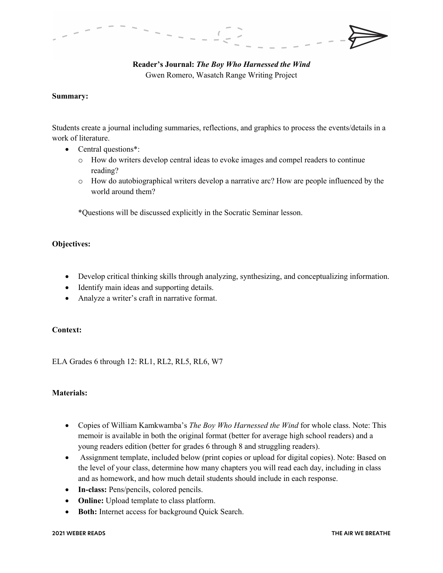## **Reader's Journal:** *The Boy Who Harnessed the Wind* Gwen Romero, Wasatch Range Writing Project

### **Summary:**

Students create a journal including summaries, reflections, and graphics to process the events/details in a work of literature.

- Central questions\*:
	- o How do writers develop central ideas to evoke images and compel readers to continue reading?
	- o How do autobiographical writers develop a narrative arc? How are people influenced by the world around them?

\*Questions will be discussed explicitly in the Socratic Seminar lesson.

## **Objectives:**

- Develop critical thinking skills through analyzing, synthesizing, and conceptualizing information.
- Identify main ideas and supporting details.
- Analyze a writer's craft in narrative format.

## **Context:**

ELA Grades 6 through 12: RL1, RL2, RL5, RL6, W7

#### **Materials:**

- Copies of William Kamkwamba's *The Boy Who Harnessed the Wind* for whole class. Note: This memoir is available in both the original format (better for average high school readers) and a young readers edition (better for grades 6 through 8 and struggling readers).
- Assignment template, included below (print copies or upload for digital copies). Note: Based on the level of your class, determine how many chapters you will read each day, including in class and as homework, and how much detail students should include in each response.
- **In-class:** Pens/pencils, colored pencils.
- **Online:** Upload template to class platform.
- **Both:** Internet access for background Quick Search.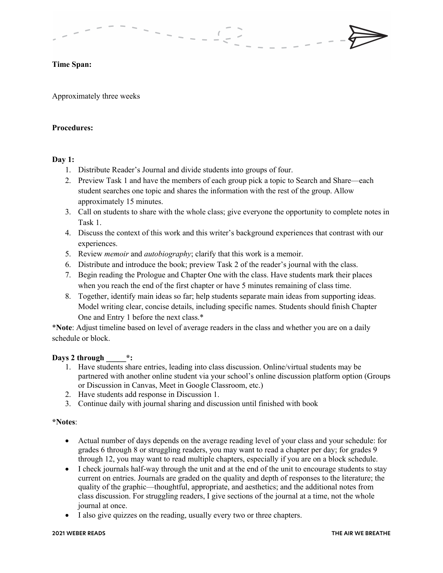## **Time Span:**

Approximately three weeks

## **Procedures:**

#### **Day 1:**

- 1. Distribute Reader's Journal and divide students into groups of four.
- 2. Preview Task 1 and have the members of each group pick a topic to Search and Share—each student searches one topic and shares the information with the rest of the group. Allow approximately 15 minutes.
- 3. Call on students to share with the whole class; give everyone the opportunity to complete notes in Task 1.
- 4. Discuss the context of this work and this writer's background experiences that contrast with our experiences.
- 5. Review *memoir* and *autobiography*; clarify that this work is a memoir.
- 6. Distribute and introduce the book; preview Task 2 of the reader's journal with the class.
- 7. Begin reading the Prologue and Chapter One with the class. Have students mark their places when you reach the end of the first chapter or have 5 minutes remaining of class time.
- 8. Together, identify main ideas so far; help students separate main ideas from supporting ideas. Model writing clear, concise details, including specific names. Students should finish Chapter One and Entry 1 before the next class.\*

\***Note**: Adjust timeline based on level of average readers in the class and whether you are on a daily schedule or block.

## **Days 2 through \_\_\_\_\_\*:**

- 1. Have students share entries, leading into class discussion. Online/virtual students may be partnered with another online student via your school's online discussion platform option (Groups or Discussion in Canvas, Meet in Google Classroom, etc.)
- 2. Have students add response in Discussion 1.
- 3. Continue daily with journal sharing and discussion until finished with book

#### **\*Notes**:

- Actual number of days depends on the average reading level of your class and your schedule: for grades 6 through 8 or struggling readers, you may want to read a chapter per day; for grades 9 through 12, you may want to read multiple chapters, especially if you are on a block schedule.
- I check journals half-way through the unit and at the end of the unit to encourage students to stay current on entries. Journals are graded on the quality and depth of responses to the literature; the quality of the graphic—thoughtful, appropriate, and aesthetics; and the additional notes from class discussion. For struggling readers, I give sections of the journal at a time, not the whole journal at once.
- I also give quizzes on the reading, usually every two or three chapters.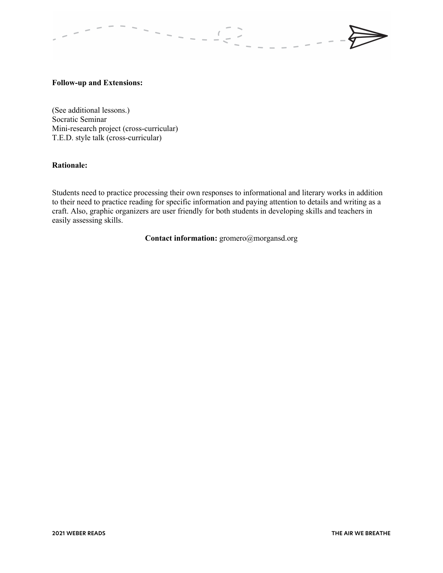#### **Follow-up and Extensions:**

(See additional lessons.) Socratic Seminar Mini-research project (cross-curricular) T.E.D. style talk (cross-curricular)

#### **Rationale:**

Students need to practice processing their own responses to informational and literary works in addition to their need to practice reading for specific information and paying attention to details and writing as a craft. Also, graphic organizers are user friendly for both students in developing skills and teachers in easily assessing skills.

**Contact information:** gromero@morgansd.org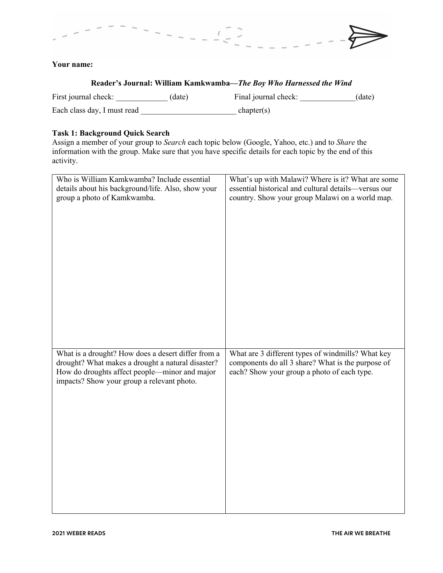# **Your name:**

| Reader's Journal: William Kamkwamba—The Boy Who Harnessed the Wind |        |                      |        |
|--------------------------------------------------------------------|--------|----------------------|--------|
| First journal check:                                               | (date) | Final journal check: | (date) |
| Each class day, I must read                                        |        | chapter(s)           |        |

# **Task 1: Background Quick Search**

Assign a member of your group to *Search* each topic below (Google, Yahoo, etc.) and to *Share* the information with the group. Make sure that you have specific details for each topic by the end of this activity.

| Who is William Kamkwamba? Include essential                                                                                                                                                            | What's up with Malawi? Where is it? What are some                                                                                                     |
|--------------------------------------------------------------------------------------------------------------------------------------------------------------------------------------------------------|-------------------------------------------------------------------------------------------------------------------------------------------------------|
| details about his background/life. Also, show your                                                                                                                                                     | essential historical and cultural details-versus our                                                                                                  |
| group a photo of Kamkwamba.                                                                                                                                                                            | country. Show your group Malawi on a world map.                                                                                                       |
| What is a drought? How does a desert differ from a<br>drought? What makes a drought a natural disaster?<br>How do droughts affect people—minor and major<br>impacts? Show your group a relevant photo. | What are 3 different types of windmills? What key<br>components do all 3 share? What is the purpose of<br>each? Show your group a photo of each type. |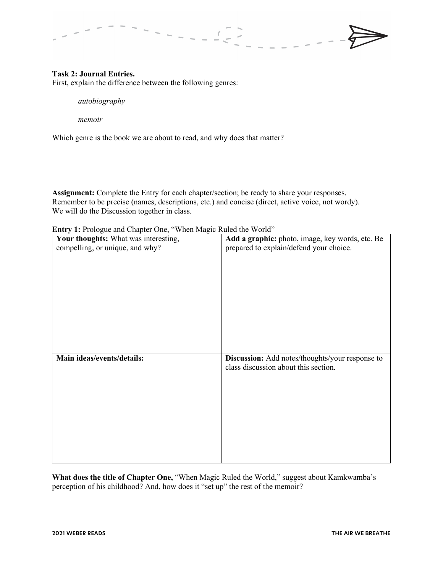## **Task 2: Journal Entries.**

First, explain the difference between the following genres:

*autobiography*

*memoir*

Which genre is the book we are about to read, and why does that matter?

**Assignment:** Complete the Entry for each chapter/section; be ready to share your responses. Remember to be precise (names, descriptions, etc.) and concise (direct, active voice, not wordy). We will do the Discussion together in class.

**Entry 1:** Prologue and Chapter One, "When Magic Ruled the World"

| Your thoughts: What was interesting, | Add a graphic: photo, image, key words, etc. Be |
|--------------------------------------|-------------------------------------------------|
| compelling, or unique, and why?      | prepared to explain/defend your choice.         |
|                                      |                                                 |
|                                      |                                                 |
|                                      |                                                 |
|                                      |                                                 |
|                                      |                                                 |
|                                      |                                                 |
|                                      |                                                 |
|                                      |                                                 |
|                                      |                                                 |
|                                      |                                                 |
|                                      |                                                 |
|                                      |                                                 |
| Main ideas/events/details:           | Discussion: Add notes/thoughts/your response to |
|                                      | class discussion about this section.            |
|                                      |                                                 |
|                                      |                                                 |
|                                      |                                                 |
|                                      |                                                 |
|                                      |                                                 |
|                                      |                                                 |
|                                      |                                                 |
|                                      |                                                 |

What does the title of Chapter One, "When Magic Ruled the World," suggest about Kamkwamba's perception of his childhood? And, how does it "set up" the rest of the memoir?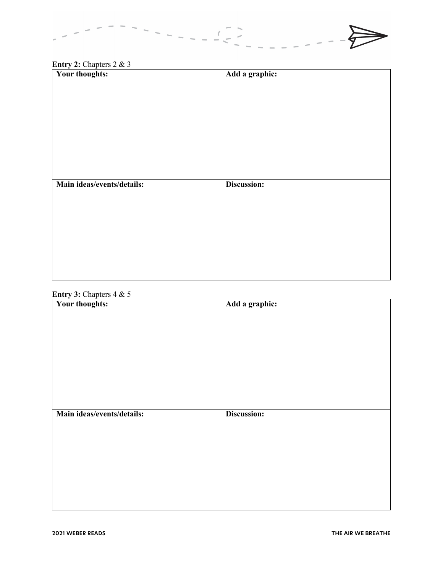

# **Entry 2:** Chapters 2 & 3

| Your thoughts:             | Add a graphic: |
|----------------------------|----------------|
|                            |                |
|                            |                |
|                            |                |
|                            |                |
|                            |                |
|                            |                |
|                            |                |
|                            |                |
|                            |                |
| Main ideas/events/details: | Discussion:    |
|                            |                |
|                            |                |
|                            |                |
|                            |                |
|                            |                |
|                            |                |
|                            |                |
|                            |                |

## **Entry 3:** Chapters 4 & 5

| Your thoughts:             | Add a graphic: |
|----------------------------|----------------|
|                            |                |
|                            |                |
|                            |                |
|                            |                |
|                            |                |
|                            |                |
|                            |                |
|                            |                |
|                            |                |
|                            |                |
|                            |                |
| Main ideas/events/details: | Discussion:    |
|                            |                |
|                            |                |
|                            |                |
|                            |                |
|                            |                |
|                            |                |
|                            |                |
|                            |                |
|                            |                |
|                            |                |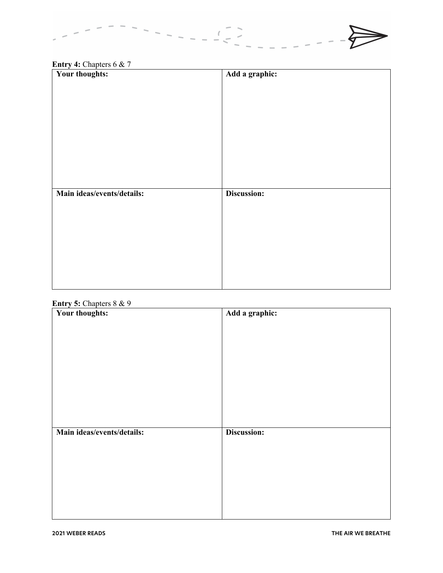

# **Entry 4:** Chapters 6 & 7

| Your thoughts:             | Add a graphic: |
|----------------------------|----------------|
|                            |                |
|                            |                |
|                            |                |
|                            |                |
|                            |                |
|                            |                |
|                            |                |
|                            |                |
|                            |                |
| Main ideas/events/details: | Discussion:    |
|                            |                |
|                            |                |
|                            |                |
|                            |                |
|                            |                |
|                            |                |
|                            |                |
|                            |                |
|                            |                |

# **Entry 5:** Chapters 8 & 9

| $\frac{\text{m}}{\text{m}}$<br>Your thoughts: | Add a graphic: |
|-----------------------------------------------|----------------|
|                                               |                |
|                                               |                |
|                                               |                |
|                                               |                |
|                                               |                |
|                                               |                |
|                                               |                |
|                                               |                |
|                                               |                |
| Main ideas/events/details:                    | Discussion:    |
|                                               |                |
|                                               |                |
|                                               |                |
|                                               |                |
|                                               |                |
|                                               |                |
|                                               |                |
|                                               |                |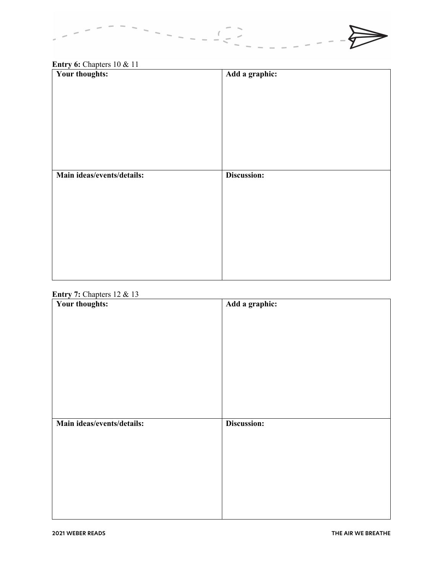

# **Entry 6:** Chapters 10 & 11

| Your thoughts:             | Add a graphic: |
|----------------------------|----------------|
|                            |                |
|                            |                |
|                            |                |
|                            |                |
|                            |                |
|                            |                |
|                            |                |
|                            |                |
| Main ideas/events/details: | Discussion:    |
|                            |                |
|                            |                |
|                            |                |
|                            |                |
|                            |                |
|                            |                |
|                            |                |
|                            |                |

# **Entry 7:** Chapters 12 & 13

| Your thoughts:             | Add a graphic: |
|----------------------------|----------------|
|                            |                |
|                            |                |
|                            |                |
|                            |                |
|                            |                |
|                            |                |
|                            |                |
|                            |                |
|                            |                |
| Main ideas/events/details: | Discussion:    |
|                            |                |
|                            |                |
|                            |                |
|                            |                |
|                            |                |
|                            |                |
|                            |                |